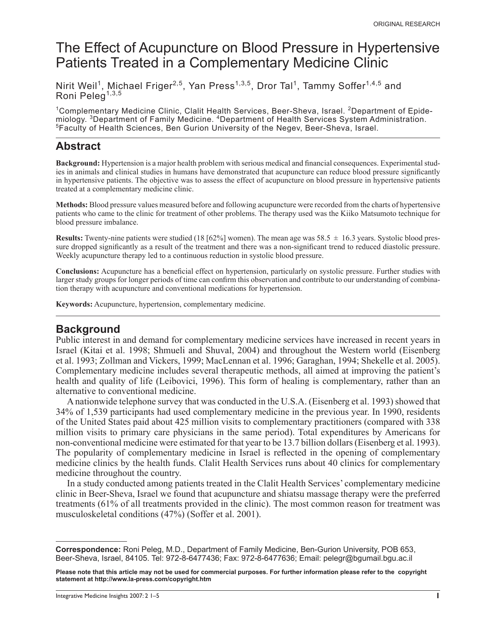# The Effect of Acupuncture on Blood Pressure in Hypertensive Patients Treated in a Complementary Medicine Clinic

Nirit Weil<sup>1</sup>, Michael Friger<sup>2,5</sup>, Yan Press<sup>1,3,5</sup>, Dror Tal<sup>1</sup>, Tammy Soffer<sup>1,4,5</sup> and Roni Peleg<sup>1,3,5</sup>

<sup>1</sup>Complementary Medicine Clinic, Clalit Health Services, Beer-Sheva, Israel. <sup>2</sup>Department of Epidemiology. <sup>3</sup>Department of Family Medicine. <sup>4</sup>Department of Health Services System Administration. 5 Faculty of Health Sciences, Ben Gurion University of the Negev, Beer-Sheva, Israel.

### **Abstract**

**Background:** Hypertension is a major health problem with serious medical and financial consequences. Experimental studies in animals and clinical studies in humans have demonstrated that acupuncture can reduce blood pressure significantly in hypertensive patients. The objective was to assess the effect of acupuncture on blood pressure in hypertensive patients treated at a complementary medicine clinic.

**Methods:** Blood pressure values measured before and following acupuncture were recorded from the charts of hypertensive patients who came to the clinic for treatment of other problems. The therapy used was the Kiiko Matsumoto technique for blood pressure imbalance.

**Results:** Twenty-nine patients were studied (18 [62%] women). The mean age was 58.5  $\pm$  16.3 years. Systolic blood pressure dropped significantly as a result of the treatment and there was a non-significant trend to reduced diastolic pressure. Weekly acupuncture therapy led to a continuous reduction in systolic blood pressure.

**Conclusions:** Acupuncture has a beneficial effect on hypertension, particularly on systolic pressure. Further studies with larger study groups for longer periods of time can confirm this observation and contribute to our understanding of combination therapy with acupuncture and conventional medications for hypertension.

**Keywords:** Acupuncture, hypertension, complementary medicine.

### **Background**

Public interest in and demand for complementary medicine services have increased in recent years in Israel (Kitai et al. 1998; Shmueli and Shuval, 2004) and throughout the Western world (Eisenberg et al. 1993; Zollman and Vickers, 1999; MacLennan et al. 1996; Garaghan, 1994; Shekelle et al. 2005). Complementary medicine includes several therapeutic methods, all aimed at improving the patient's health and quality of life (Leibovici, 1996). This form of healing is complementary, rather than an alternative to conventional medicine.

A nationwide telephone survey that was conducted in the U.S.A. (Eisenberg et al. 1993) showed that 34% of 1,539 participants had used complementary medicine in the previous year. In 1990, residents of the United States paid about 425 million visits to complementary practitioners (compared with 338 million visits to primary care physicians in the same period). Total expenditures by Americans for non-conventional medicine were estimated for that year to be 13.7 billion dollars (Eisenberg et al. 1993). The popularity of complementary medicine in Israel is reflected in the opening of complementary medicine clinics by the health funds. Clalit Health Services runs about 40 clinics for complementary medicine throughout the country.

In a study conducted among patients treated in the Clalit Health Services' complementary medicine clinic in Beer-Sheva, Israel we found that acupuncture and shiatsu massage therapy were the preferred treatments (61% of all treatments provided in the clinic). The most common reason for treatment was musculoskeletal conditions (47%) (Soffer et al. 2001).

**Correspondence:** Roni Peleg, M.D., Department of Family Medicine, Ben-Gurion University, POB 653, Beer-Sheva, Israel, 84105. Tel: 972-8-6477436; Fax: 972-8-6477636; Email: pelegr@bgumail.bgu.ac.il

**Please note that this article may not be used for commercial purposes. For further information please refer to the copyright statement at http://www.la-press.com/copyright.htm**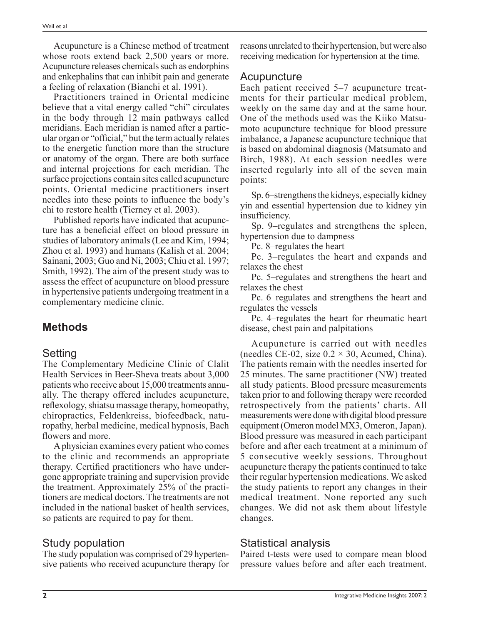Acupuncture is a Chinese method of treatment whose roots extend back 2,500 years or more. Acupuncture releases chemicals such as endorphins and enkephalins that can inhibit pain and generate a feeling of relaxation (Bianchi et al. 1991).

Practitioners trained in Oriental medicine believe that a vital energy called "chi" circulates in the body through 12 main pathways called meridians. Each meridian is named after a particular organ or "official," but the term actually relates to the energetic function more than the structure or anatomy of the organ. There are both surface and internal projections for each meridian. The surface projections contain sites called acupuncture points. Oriental medicine practitioners insert needles into these points to influence the body's chi to restore health (Tierney et al. 2003).

Published reports have indicated that acupuncture has a beneficial effect on blood pressure in studies of laboratory animals (Lee and Kim, 1994; Zhou et al. 1993) and humans (Kalish et al. 2004; Sainani, 2003; Guo and Ni, 2003; Chiu et al. 1997; Smith, 1992). The aim of the present study was to assess the effect of acupuncture on blood pressure in hypertensive patients undergoing treatment in a complementary medicine clinic.

# **Methods**

#### Setting

The Complementary Medicine Clinic of Clalit Health Services in Beer-Sheva treats about 3,000 patients who receive about 15,000 treatments annually. The therapy offered includes acupuncture, refl exology, shiatsu massage therapy, homeopathy, chiropractics, Feldenkreiss, biofeedback, naturopathy, herbal medicine, medical hypnosis, Bach flowers and more.

A physician examines every patient who comes to the clinic and recommends an appropriate therapy. Certified practitioners who have undergone appropriate training and supervision provide the treatment. Approximately 25% of the practitioners are medical doctors. The treatments are not included in the national basket of health services, so patients are required to pay for them.

# Study population

The study population was comprised of 29 hypertensive patients who received acupuncture therapy for reasons unrelated to their hypertension, but were also receiving medication for hypertension at the time.

#### Acupuncture

Each patient received 5–7 acupuncture treatments for their particular medical problem, weekly on the same day and at the same hour. One of the methods used was the Kiiko Matsumoto acupuncture technique for blood pressure imbalance, a Japanese acupuncture technique that is based on abdominal diagnosis (Matsumato and Birch, 1988). At each session needles were inserted regularly into all of the seven main points:

Sp. 6–strengthens the kidneys, especially kidney yin and essential hypertension due to kidney yin insufficiency.

Sp. 9–regulates and strengthens the spleen, hypertension due to dampness

Pc. 8–regulates the heart

Pc. 3–regulates the heart and expands and relaxes the chest

Pc. 5–regulates and strengthens the heart and relaxes the chest

Pc. 6–regulates and strengthens the heart and regulates the vessels

Pc. 4–regulates the heart for rheumatic heart disease, chest pain and palpitations

Acupuncture is carried out with needles (needles CE-02, size  $0.2 \times 30$ , Acumed, China). The patients remain with the needles inserted for 25 minutes. The same practitioner (NW) treated all study patients. Blood pressure measurements taken prior to and following therapy were recorded retrospectively from the patients' charts. All measurements were done with digital blood pressure equipment (Omeron model MX3, Omeron, Japan). Blood pressure was measured in each participant before and after each treatment at a minimum of 5 consecutive weekly sessions. Throughout acupuncture therapy the patients continued to take their regular hypertension medications. We asked the study patients to report any changes in their medical treatment. None reported any such changes. We did not ask them about lifestyle changes.

# Statistical analysis

Paired t-tests were used to compare mean blood pressure values before and after each treatment.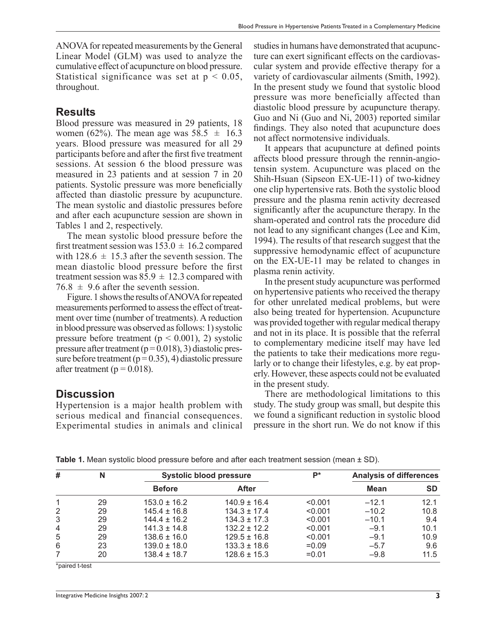ANOVA for repeated measurements by the General Linear Model (GLM) was used to analyze the cumulative effect of acupuncture on blood pressure. Statistical significance was set at  $p < 0.05$ , throughout.

#### **Results**

Blood pressure was measured in 29 patients, 18 women (62%). The mean age was  $58.5 \pm 16.3$ years. Blood pressure was measured for all 29 participants before and after the first five treatment sessions. At session 6 the blood pressure was measured in 23 patients and at session 7 in 20 patients. Systolic pressure was more beneficially affected than diastolic pressure by acupuncture. The mean systolic and diastolic pressures before and after each acupuncture session are shown in Tables 1 and 2, respectively.

The mean systolic blood pressure before the first treatment session was  $153.0 \pm 16.2$  compared with  $128.6 \pm 15.3$  after the seventh session. The mean diastolic blood pressure before the first treatment session was  $85.9 \pm 12.3$  compared with  $76.8 \pm 9.6$  after the seventh session.

Figure. 1 shows the results of ANOVA for repeated measurements performed to assess the effect of treatment over time (number of treatments). A reduction in blood pressure was observed as follows: 1) systolic pressure before treatment ( $p < 0.001$ ), 2) systolic pressure after treatment  $(p=0.018)$ , 3) diastolic pressure before treatment ( $p = 0.35$ ), 4) diastolic pressure after treatment ( $p = 0.018$ ).

#### **Discussion**

Hypertension is a major health problem with serious medical and financial consequences. Experimental studies in animals and clinical

studies in humans have demonstrated that acupuncture can exert significant effects on the cardiovascular system and provide effective therapy for a variety of cardiovascular ailments (Smith, 1992). In the present study we found that systolic blood pressure was more beneficially affected than diastolic blood pressure by acupuncture therapy. Guo and Ni (Guo and Ni, 2003) reported similar findings. They also noted that acupuncture does not affect normotensive individuals.

It appears that acupuncture at defined points affects blood pressure through the rennin-angiotensin system. Acupuncture was placed on the Shih-Hsuan (Sipseon EX-UE-11) of two-kidney one clip hypertensive rats. Both the systolic blood pressure and the plasma renin activity decreased significantly after the acupuncture therapy. In the sham-operated and control rats the procedure did not lead to any significant changes (Lee and Kim, 1994). The results of that research suggest that the suppressive hemodynamic effect of acupuncture on the EX-UE-11 may be related to changes in plasma renin activity.

In the present study acupuncture was performed on hypertensive patients who received the therapy for other unrelated medical problems, but were also being treated for hypertension. Acupuncture was provided together with regular medical therapy and not in its place. It is possible that the referral to complementary medicine itself may have led the patients to take their medications more regularly or to change their lifestyles, e.g. by eat properly. However, these aspects could not be evaluated in the present study.

There are methodological limitations to this study. The study group was small, but despite this we found a significant reduction in systolic blood pressure in the short run. We do not know if this

| #              | N  | <b>Systolic blood pressure</b> |                  | <b>p</b> * | <b>Analysis of differences</b> |           |
|----------------|----|--------------------------------|------------------|------------|--------------------------------|-----------|
|                |    | <b>Before</b>                  | <b>After</b>     |            | <b>Mean</b>                    | <b>SD</b> |
|                | 29 | $153.0 \pm 16.2$               | $140.9 \pm 16.4$ | < 0.001    | $-12.1$                        | 12.1      |
| 2              | 29 | $145.4 \pm 16.8$               | $134.3 \pm 17.4$ | < 0.001    | $-10.2$                        | 10.8      |
| 3              | 29 | $144.4 \pm 16.2$               | $134.3 \pm 17.3$ | < 0.001    | $-10.1$                        | 9.4       |
| $\overline{4}$ | 29 | $141.3 \pm 14.8$               | $132.2 + 12.2$   | < 0.001    | $-9.1$                         | 10.1      |
| 5              | 29 | $138.6 \pm 16.0$               | $129.5 \pm 16.8$ | < 0.001    | $-9.1$                         | 10.9      |
| 6              | 23 | $139.0 \pm 18.0$               | $133.3 \pm 18.6$ | $=0.09$    | $-5.7$                         | 9.6       |
|                | 20 | $138.4 \pm 18.7$               | $128.6 \pm 15.3$ | $= 0.01$   | $-9.8$                         | 11.5      |

**Table 1.** Mean systolic blood pressure before and after each treatment session (mean  $\pm$  SD).

\*paired t-test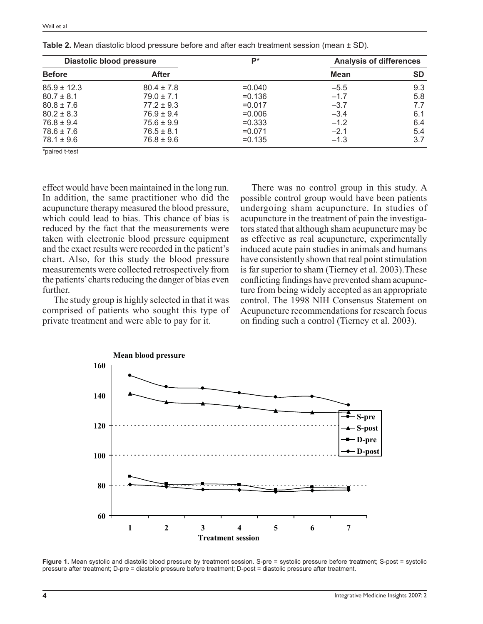| <b>Diastolic blood pressure</b> |                | <b>D</b> * | <b>Analysis of differences</b> |     |
|---------------------------------|----------------|------------|--------------------------------|-----|
| <b>Before</b>                   | <b>After</b>   |            | <b>Mean</b>                    | SD  |
| $85.9 \pm 12.3$                 | $80.4 \pm 7.8$ | $= 0.040$  | $-5.5$                         | 9.3 |
| $80.7 \pm 8.1$                  | $79.0 \pm 7.1$ | $= 0.136$  | $-1.7$                         | 5.8 |
| $80.8 \pm 7.6$                  | $77.2 \pm 9.3$ | $= 0.017$  | $-3.7$                         | 7.7 |
| $80.2 \pm 8.3$                  | $76.9 \pm 9.4$ | $= 0.006$  | $-3.4$                         | 6.1 |
| $76.8 \pm 9.4$                  | $75.6 \pm 9.9$ | $=0.333$   | $-1.2$                         | 6.4 |
| $78.6 \pm 7.6$                  | $76.5 \pm 8.1$ | $=0.071$   | $-2.1$                         | 5.4 |
| $78.1 \pm 9.6$                  | $76.8 \pm 9.6$ | $= 0.135$  | $-1.3$                         | 3.7 |

**Table 2.** Mean diastolic blood pressure before and after each treatment session (mean  $\pm$  SD).

\*paired t-test

effect would have been maintained in the long run. In addition, the same practitioner who did the acupuncture therapy measured the blood pressure, which could lead to bias. This chance of bias is reduced by the fact that the measurements were taken with electronic blood pressure equipment and the exact results were recorded in the patient's chart. Also, for this study the blood pressure measurements were collected retrospectively from the patients' charts reducing the danger of bias even further.

The study group is highly selected in that it was comprised of patients who sought this type of private treatment and were able to pay for it.

There was no control group in this study. A possible control group would have been patients undergoing sham acupuncture. In studies of acupuncture in the treatment of pain the investigators stated that although sham acupuncture may be as effective as real acupuncture, experimentally induced acute pain studies in animals and humans have consistently shown that real point stimulation is far superior to sham (Tierney et al. 2003).These conflicting findings have prevented sham acupuncture from being widely accepted as an appropriate control. The 1998 NIH Consensus Statement on Acupuncture recommendations for research focus on finding such a control (Tierney et al. 2003).



Figure 1. Mean systolic and diastolic blood pressure by treatment session. S-pre = systolic pressure before treatment; S-post = systolic pressure after treatment; D-pre = diastolic pressure before treatment; D-post = diastolic pressure after treatment.